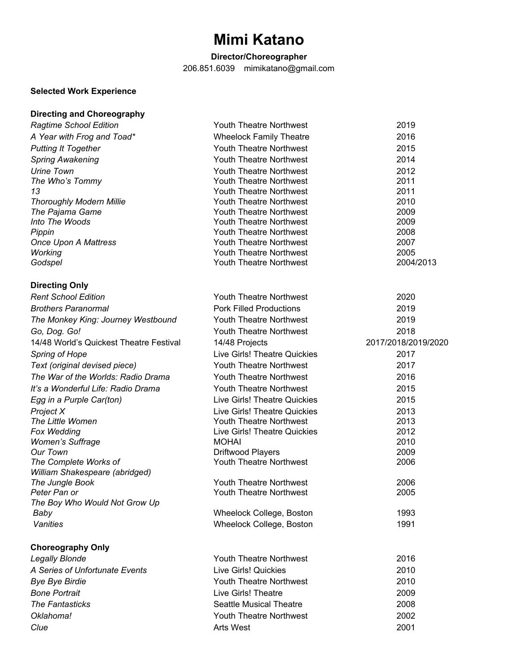# **Mimi Katano**

# **Director/Choreographer**

206.851.6039 mimikatano@gmail.com

# **Selected Work Experience**

| <b>Directing and Choreography</b> |  |  |  |
|-----------------------------------|--|--|--|
|-----------------------------------|--|--|--|

| <b>Ragtime School Edition</b>           | <b>Youth Theatre Northwest</b>      | 2019                |
|-----------------------------------------|-------------------------------------|---------------------|
| A Year with Frog and Toad*              | <b>Wheelock Family Theatre</b>      | 2016                |
| <b>Putting It Together</b>              | Youth Theatre Northwest             | 2015                |
| <b>Spring Awakening</b>                 | Youth Theatre Northwest             | 2014                |
| Urine Town                              | Youth Theatre Northwest             | 2012                |
| The Who's Tommy                         | Youth Theatre Northwest             | 2011                |
| 13                                      | Youth Theatre Northwest             | 2011                |
| <b>Thoroughly Modern Millie</b>         | Youth Theatre Northwest             | 2010                |
| The Pajama Game                         | Youth Theatre Northwest             | 2009                |
| Into The Woods                          | Youth Theatre Northwest             | 2009                |
| Pippin                                  | Youth Theatre Northwest             | 2008                |
| <b>Once Upon A Mattress</b>             | Youth Theatre Northwest             | 2007                |
| Working                                 | Youth Theatre Northwest             | 2005                |
| Godspel                                 | Youth Theatre Northwest             | 2004/2013           |
| <b>Directing Only</b>                   |                                     |                     |
| <b>Rent School Edition</b>              | <b>Youth Theatre Northwest</b>      | 2020                |
| <b>Brothers Paranormal</b>              | <b>Pork Filled Productions</b>      | 2019                |
| The Monkey King: Journey Westbound      | <b>Youth Theatre Northwest</b>      | 2019                |
| Go, Dog. Go!                            | Youth Theatre Northwest             | 2018                |
| 14/48 World's Quickest Theatre Festival | 14/48 Projects                      | 2017/2018/2019/2020 |
| <b>Spring of Hope</b>                   | <b>Live Girls! Theatre Quickies</b> | 2017                |
| Text (original devised piece)           | Youth Theatre Northwest             | 2017                |
| The War of the Worlds: Radio Drama      | <b>Youth Theatre Northwest</b>      | 2016                |
| It's a Wonderful Life: Radio Drama      | <b>Youth Theatre Northwest</b>      | 2015                |
| Egg in a Purple Car(ton)                | <b>Live Girls! Theatre Quickies</b> | 2015                |
| Project X                               | <b>Live Girls! Theatre Quickies</b> | 2013                |
| The Little Women                        | Youth Theatre Northwest             | 2013                |
| Fox Wedding                             | Live Girls! Theatre Quickies        | 2012                |
| <b>Women's Suffrage</b>                 | <b>MOHAI</b>                        | 2010                |
| <b>Our Town</b>                         | Driftwood Players                   | 2009                |
| The Complete Works of                   | Youth Theatre Northwest             | 2006                |
| William Shakespeare (abridged)          |                                     |                     |
| The Jungle Book                         | Youth Theatre Northwest             | 2006                |
| Peter Pan or                            | Youth Theatre Northwest             | 2005                |
| The Boy Who Would Not Grow Up           |                                     |                     |
| Baby                                    | Wheelock College, Boston            | 1993                |
| Vanities                                | Wheelock College, Boston            | 1991                |
| <b>Choreography Only</b>                |                                     |                     |
| <b>Legally Blonde</b>                   | <b>Youth Theatre Northwest</b>      | 2016                |
| A Series of Unfortunate Events          | Live Girls! Quickies                | 2010                |
| <b>Bye Bye Birdie</b>                   | <b>Youth Theatre Northwest</b>      | 2010                |
| <b>Bone Portrait</b>                    | Live Girls! Theatre                 | 2009                |
| The Fantasticks                         | <b>Seattle Musical Theatre</b>      | 2008                |

**Oklahoma!** 2002 **Clue** 2001